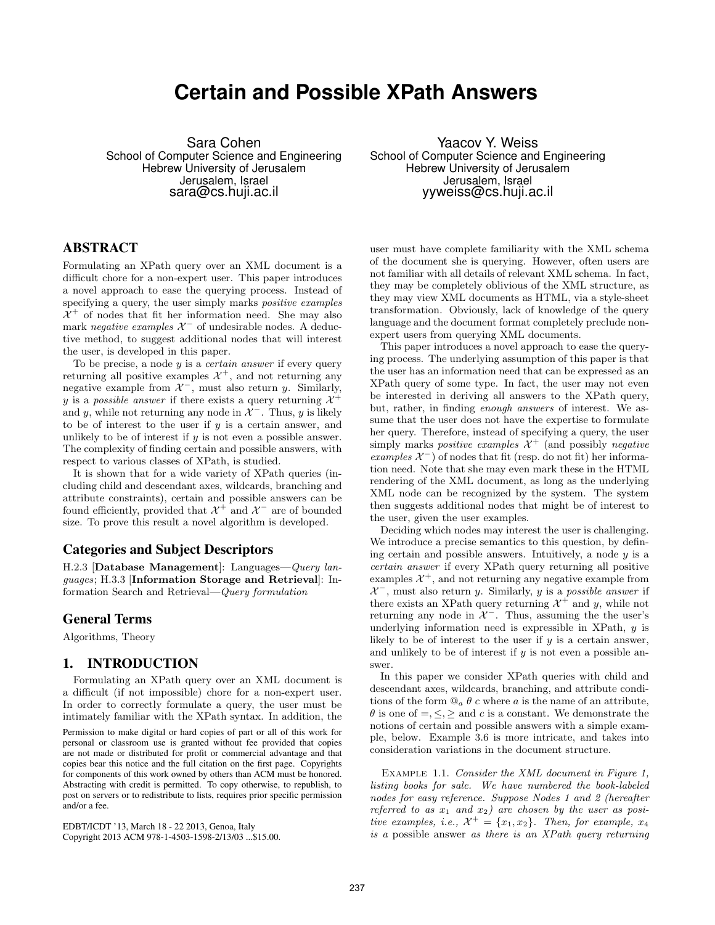# **Certain and Possible XPath Answers**

Sara Cohen School of Computer Science and Engineering Hebrew University of Jerusalem Jerusalem, Israel sara@cs.huji.ac.il

Yaacov Y. Weiss School of Computer Science and Engineering Hebrew University of Jerusalem Jerusalem, Israel yyweiss@cs.huji.ac.il

## ABSTRACT

Formulating an XPath query over an XML document is a difficult chore for a non-expert user. This paper introduces a novel approach to ease the querying process. Instead of specifying a query, the user simply marks *positive examples*  $\mathcal{X}^+$  of nodes that fit her information need. She may also mark negative examples  $\mathcal{X}^-$  of undesirable nodes. A deductive method, to suggest additional nodes that will interest the user, is developed in this paper.

To be precise, a node  $y$  is a *certain answer* if every query returning all positive examples  $\mathcal{X}^+$ , and not returning any negative example from  $\mathcal{X}^-$ , must also return y. Similarly, y is a possible answer if there exists a query returning  $\mathcal{X}^+$ and y, while not returning any node in  $\mathcal{X}^-$ . Thus, y is likely to be of interest to the user if  $y$  is a certain answer, and unlikely to be of interest if  $y$  is not even a possible answer. The complexity of finding certain and possible answers, with respect to various classes of XPath, is studied.

It is shown that for a wide variety of XPath queries (including child and descendant axes, wildcards, branching and attribute constraints), certain and possible answers can be found efficiently, provided that  $\mathcal{X}^+$  and  $\mathcal{X}^-$  are of bounded size. To prove this result a novel algorithm is developed.

#### Categories and Subject Descriptors

H.2.3 [Database Management]: Languages—Query languages; H.3.3 [Information Storage and Retrieval]: Information Search and Retrieval—Query formulation

#### General Terms

Algorithms, Theory

## 1. INTRODUCTION

Formulating an XPath query over an XML document is a difficult (if not impossible) chore for a non-expert user. In order to correctly formulate a query, the user must be intimately familiar with the XPath syntax. In addition, the

Permission to make digital or hard copies of part or all of this work for personal or classroom use is granted without fee provided that copies are not made or distributed for profit or commercial advantage and that copies bear this notice and the full citation on the first page. Copyrights for components of this work owned by others than ACM must be honored. Abstracting with credit is permitted. To copy otherwise, to republish, to post on servers or to redistribute to lists, requires prior specific permission and/or a fee.

EDBT/ICDT '13, March 18 - 22 2013, Genoa, Italy Copyright 2013 ACM 978-1-4503-1598-2/13/03 ...\$15.00.

user must have complete familiarity with the XML schema of the document she is querying. However, often users are not familiar with all details of relevant XML schema. In fact, they may be completely oblivious of the XML structure, as they may view XML documents as HTML, via a style-sheet transformation. Obviously, lack of knowledge of the query language and the document format completely preclude nonexpert users from querying XML documents.

This paper introduces a novel approach to ease the querying process. The underlying assumption of this paper is that the user has an information need that can be expressed as an XPath query of some type. In fact, the user may not even be interested in deriving all answers to the XPath query, but, rather, in finding enough answers of interest. We assume that the user does not have the expertise to formulate her query. Therefore, instead of specifying a query, the user simply marks *positive examples*  $\mathcal{X}^+$  (and possibly *negative* examples  $\mathcal{X}^-$ ) of nodes that fit (resp. do not fit) her information need. Note that she may even mark these in the HTML rendering of the XML document, as long as the underlying XML node can be recognized by the system. The system then suggests additional nodes that might be of interest to the user, given the user examples.

Deciding which nodes may interest the user is challenging. We introduce a precise semantics to this question, by defining certain and possible answers. Intuitively, a node  $y$  is a certain answer if every XPath query returning all positive examples  $\mathcal{X}^+$ , and not returning any negative example from  $\mathcal{X}^-$ , must also return y. Similarly, y is a possible answer if there exists an XPath query returning  $\mathcal{X}^+$  and y, while not returning any node in  $\mathcal{X}^-$ . Thus, assuming the the user's underlying information need is expressible in XPath, y is likely to be of interest to the user if  $y$  is a certain answer, and unlikely to be of interest if  $y$  is not even a possible answer.

In this paper we consider XPath queries with child and descendant axes, wildcards, branching, and attribute conditions of the form  $\mathbb{Q}_a \theta$  c where a is the name of an attribute,  $\theta$  is one of  $=$ ,  $\leq$ ,  $\geq$  and c is a constant. We demonstrate the notions of certain and possible answers with a simple example, below. Example 3.6 is more intricate, and takes into consideration variations in the document structure.

EXAMPLE 1.1. Consider the XML document in Figure 1, listing books for sale. We have numbered the book-labeled nodes for easy reference. Suppose Nodes 1 and 2 (hereafter referred to as  $x_1$  and  $x_2$ ) are chosen by the user as positive examples, i.e.,  $\mathcal{X}^+ = \{x_1, x_2\}$ . Then, for example,  $x_4$ is a possible answer as there is an XPath query returning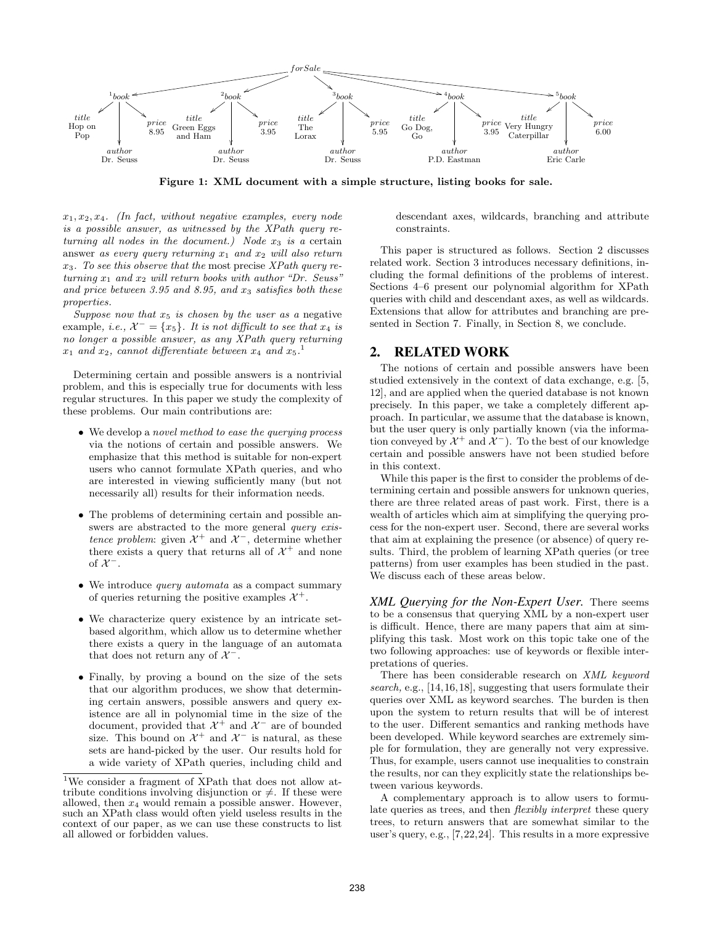

Figure 1: XML document with a simple structure, listing books for sale.

 $x_1, x_2, x_4$ . (In fact, without negative examples, every node is a possible answer, as witnessed by the XPath query returning all nodes in the document.) Node  $x_3$  is a certain answer as every query returning  $x_1$  and  $x_2$  will also return  $x_3$ . To see this observe that the most precise XPath query returning  $x_1$  and  $x_2$  will return books with author "Dr. Seuss" and price between 3.95 and 8.95, and  $x_3$  satisfies both these properties.

Suppose now that  $x_5$  is chosen by the user as a negative example, i.e.,  $\mathcal{X}^- = \{x_5\}$ . It is not difficult to see that  $x_4$  is no longer a possible answer, as any XPath query returning  $x_1$  and  $x_2$ , cannot differentiate between  $x_4$  and  $x_5$ .<sup>1</sup>

Determining certain and possible answers is a nontrivial problem, and this is especially true for documents with less regular structures. In this paper we study the complexity of these problems. Our main contributions are:

- We develop a novel method to ease the querying process via the notions of certain and possible answers. We emphasize that this method is suitable for non-expert users who cannot formulate XPath queries, and who are interested in viewing sufficiently many (but not necessarily all) results for their information needs.
- The problems of determining certain and possible answers are abstracted to the more general *query exis*tence problem: given  $\mathcal{X}^+$  and  $\mathcal{X}^-$ , determine whether there exists a query that returns all of  $\mathcal{X}^+$  and none of  $\mathcal{X}^-$ .
- We introduce *query automata* as a compact summary of queries returning the positive examples  $\mathcal{X}^+$ .
- We characterize query existence by an intricate setbased algorithm, which allow us to determine whether there exists a query in the language of an automata that does not return any of  $\mathcal{X}^-$ .
- Finally, by proving a bound on the size of the sets that our algorithm produces, we show that determining certain answers, possible answers and query existence are all in polynomial time in the size of the document, provided that  $\mathcal{X}^+$  and  $\mathcal{X}^-$  are of bounded size. This bound on  $\mathcal{X}^+$  and  $\mathcal{X}^-$  is natural, as these sets are hand-picked by the user. Our results hold for a wide variety of XPath queries, including child and

descendant axes, wildcards, branching and attribute constraints.

This paper is structured as follows. Section 2 discusses related work. Section 3 introduces necessary definitions, including the formal definitions of the problems of interest. Sections 4–6 present our polynomial algorithm for XPath queries with child and descendant axes, as well as wildcards. Extensions that allow for attributes and branching are presented in Section 7. Finally, in Section 8, we conclude.

#### 2. RELATED WORK

The notions of certain and possible answers have been studied extensively in the context of data exchange, e.g. [5, 12], and are applied when the queried database is not known precisely. In this paper, we take a completely different approach. In particular, we assume that the database is known, but the user query is only partially known (via the information conveyed by  $\mathcal{X}^+$  and  $\mathcal{X}^-$ ). To the best of our knowledge certain and possible answers have not been studied before in this context.

While this paper is the first to consider the problems of determining certain and possible answers for unknown queries, there are three related areas of past work. First, there is a wealth of articles which aim at simplifying the querying process for the non-expert user. Second, there are several works that aim at explaining the presence (or absence) of query results. Third, the problem of learning XPath queries (or tree patterns) from user examples has been studied in the past. We discuss each of these areas below.

*XML Querying for the Non-Expert User.* There seems to be a consensus that querying XML by a non-expert user is difficult. Hence, there are many papers that aim at simplifying this task. Most work on this topic take one of the two following approaches: use of keywords or flexible interpretations of queries.

There has been considerable research on XML keyword search, e.g., [14,16,18], suggesting that users formulate their queries over XML as keyword searches. The burden is then upon the system to return results that will be of interest to the user. Different semantics and ranking methods have been developed. While keyword searches are extremely simple for formulation, they are generally not very expressive. Thus, for example, users cannot use inequalities to constrain the results, nor can they explicitly state the relationships between various keywords.

A complementary approach is to allow users to formulate queries as trees, and then flexibly interpret these query trees, to return answers that are somewhat similar to the user's query, e.g., [7,22,24]. This results in a more expressive

<sup>1</sup>We consider a fragment of XPath that does not allow attribute conditions involving disjunction or  $\neq$ . If these were allowed, then  $x_4$  would remain a possible answer. However, such an XPath class would often yield useless results in the context of our paper, as we can use these constructs to list all allowed or forbidden values.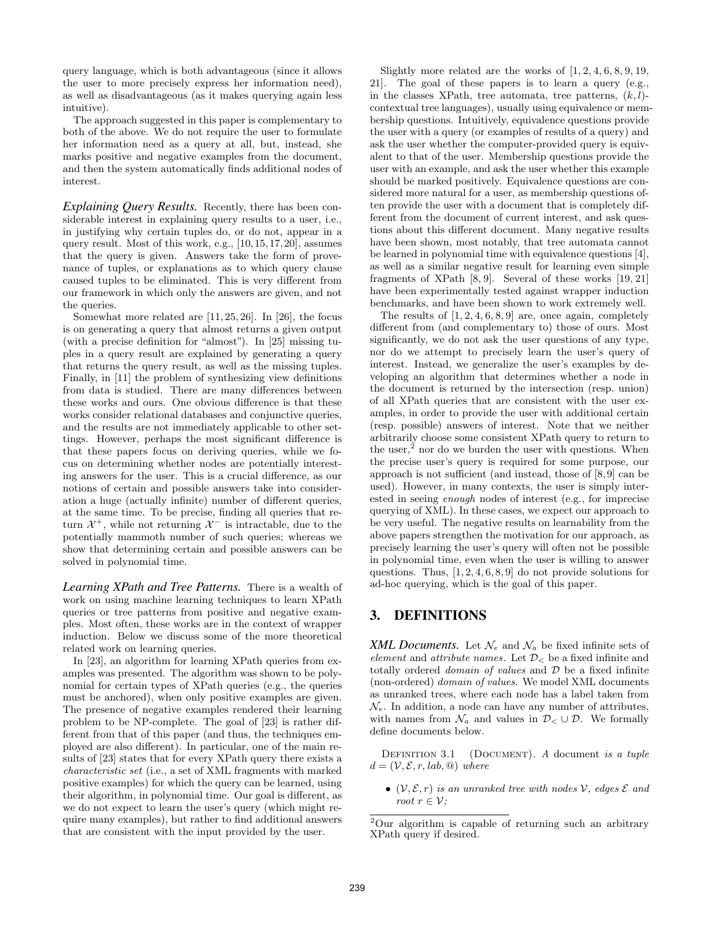query language, which is both advantageous (since it allows the user to more precisely express her information need), as well as disadvantageous (as it makes querying again less intuitive).

The approach suggested in this paper is complementary to both of the above. We do not require the user to formulate her information need as a query at all, but, instead, she marks positive and negative examples from the document, and then the system automatically finds additional nodes of interest.

*Explaining Query Results.* Recently, there has been considerable interest in explaining query results to a user, i.e., in justifying why certain tuples do, or do not, appear in a query result. Most of this work, e.g., [10,15,17,20], assumes that the query is given. Answers take the form of provenance of tuples, or explanations as to which query clause caused tuples to be eliminated. This is very different from our framework in which only the answers are given, and not the queries.

Somewhat more related are [11, 25, 26]. In [26], the focus is on generating a query that almost returns a given output (with a precise definition for "almost"). In [25] missing tuples in a query result are explained by generating a query that returns the query result, as well as the missing tuples. Finally, in [11] the problem of synthesizing view definitions from data is studied. There are many differences between these works and ours. One obvious difference is that these works consider relational databases and conjunctive queries, and the results are not immediately applicable to other settings. However, perhaps the most significant difference is that these papers focus on deriving queries, while we focus on determining whether nodes are potentially interesting answers for the user. This is a crucial difference, as our notions of certain and possible answers take into consideration a huge (actually infinite) number of different queries, at the same time. To be precise, finding all queries that return  $\mathcal{X}^+$ , while not returning  $\mathcal{X}^-$  is intractable, due to the potentially mammoth number of such queries; whereas we show that determining certain and possible answers can be solved in polynomial time.

*Learning XPath and Tree Patterns.* There is a wealth of work on using machine learning techniques to learn XPath queries or tree patterns from positive and negative examples. Most often, these works are in the context of wrapper induction. Below we discuss some of the more theoretical related work on learning queries.

In [23], an algorithm for learning XPath queries from examples was presented. The algorithm was shown to be polynomial for certain types of XPath queries (e.g., the queries must be anchored), when only positive examples are given. The presence of negative examples rendered their learning problem to be NP-complete. The goal of [23] is rather different from that of this paper (and thus, the techniques employed are also different). In particular, one of the main results of [23] states that for every XPath query there exists a characteristic set (i.e., a set of XML fragments with marked positive examples) for which the query can be learned, using their algorithm, in polynomial time. Our goal is different, as we do not expect to learn the user's query (which might require many examples), but rather to find additional answers that are consistent with the input provided by the user.

Slightly more related are the works of  $[1, 2, 4, 6, 8, 9, 19,$ 21]. The goal of these papers is to learn a query (e.g., in the classes XPath, tree automata, tree patterns,  $(k, l)$ contextual tree languages), usually using equivalence or membership questions. Intuitively, equivalence questions provide the user with a query (or examples of results of a query) and ask the user whether the computer-provided query is equivalent to that of the user. Membership questions provide the user with an example, and ask the user whether this example should be marked positively. Equivalence questions are considered more natural for a user, as membership questions often provide the user with a document that is completely different from the document of current interest, and ask questions about this different document. Many negative results have been shown, most notably, that tree automata cannot be learned in polynomial time with equivalence questions [4], as well as a similar negative result for learning even simple fragments of XPath [8, 9]. Several of these works [19, 21] have been experimentally tested against wrapper induction benchmarks, and have been shown to work extremely well.

The results of  $[1, 2, 4, 6, 8, 9]$  are, once again, completely different from (and complementary to) those of ours. Most significantly, we do not ask the user questions of any type, nor do we attempt to precisely learn the user's query of interest. Instead, we generalize the user's examples by developing an algorithm that determines whether a node in the document is returned by the intersection (resp. union) of all XPath queries that are consistent with the user examples, in order to provide the user with additional certain (resp. possible) answers of interest. Note that we neither arbitrarily choose some consistent XPath query to return to the user, $\lambda^2$  nor do we burden the user with questions. When the precise user's query is required for some purpose, our approach is not sufficient (and instead, those of [8, 9] can be used). However, in many contexts, the user is simply interested in seeing enough nodes of interest (e.g., for imprecise querying of XML). In these cases, we expect our approach to be very useful. The negative results on learnability from the above papers strengthen the motivation for our approach, as precisely learning the user's query will often not be possible in polynomial time, even when the user is willing to answer questions. Thus,  $[1, 2, 4, 6, 8, 9]$  do not provide solutions for ad-hoc querying, which is the goal of this paper.

## 3. DEFINITIONS

XML Documents. Let  $\mathcal{N}_e$  and  $\mathcal{N}_a$  be fixed infinite sets of element and attribute names. Let  $\mathcal{D}_{<}$  be a fixed infinite and totally ordered *domain of values* and  $D$  be a fixed infinite (non-ordered) domain of values. We model XML documents as unranked trees, where each node has a label taken from  $\mathcal{N}_e$ . In addition, a node can have any number of attributes, with names from  $\mathcal{N}_a$  and values in  $\mathcal{D}_{<} \cup \mathcal{D}$ . We formally define documents below.

DEFINITION 3.1 (DOCUMENT). A document is a tuple  $d = (\mathcal{V}, \mathcal{E}, r, lab, \mathcal{Q})$  where

•  $(\mathcal{V}, \mathcal{E}, r)$  is an unranked tree with nodes  $\mathcal{V}$ , edges  $\mathcal{E}$  and root  $r \in \mathcal{V}$ :

<sup>2</sup>Our algorithm is capable of returning such an arbitrary XPath query if desired.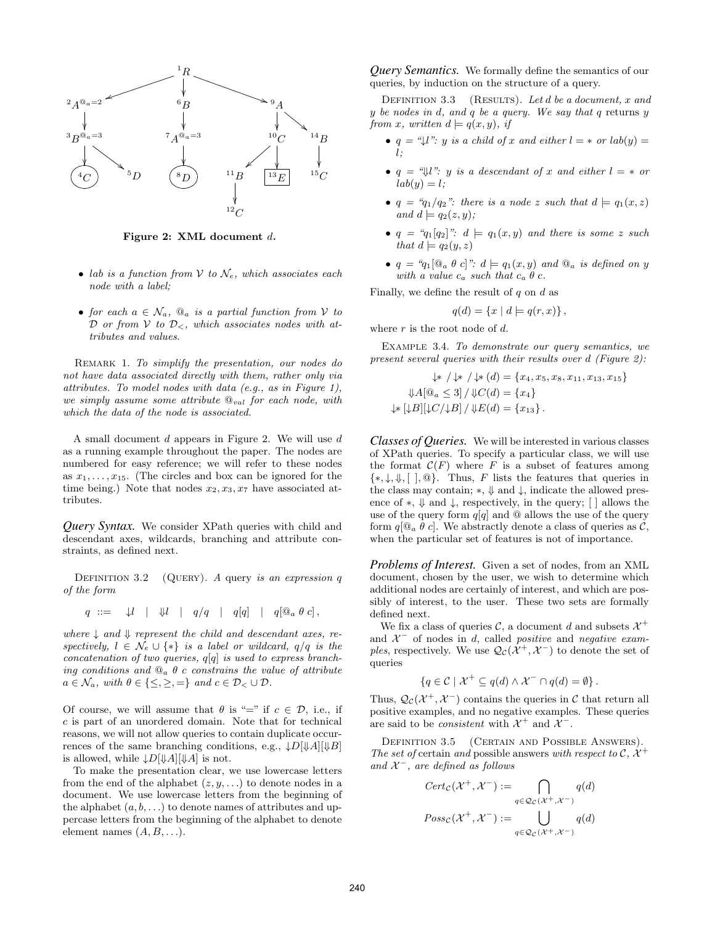

Figure 2: XML document d.

- lab is a function from V to  $\mathcal{N}_e$ , which associates each node with a label;
- for each  $a \in \mathcal{N}_a$ ,  $\mathbb{Q}_a$  is a partial function from V to D or from V to  $\mathcal{D}_{\leq}$ , which associates nodes with attributes and values.

REMARK 1. To simplify the presentation, our nodes do not have data associated directly with them, rather only via attributes. To model nodes with data (e.g., as in Figure 1), we simply assume some attribute  $\mathbb{Q}_{val}$  for each node, with which the data of the node is associated.

A small document d appears in Figure 2. We will use d as a running example throughout the paper. The nodes are numbered for easy reference; we will refer to these nodes as  $x_1, \ldots, x_{15}$ . (The circles and box can be ignored for the time being.) Note that nodes  $x_2, x_3, x_7$  have associated attributes.

*Query Syntax.* We consider XPath queries with child and descendant axes, wildcards, branching and attribute constraints, as defined next.

DEFINITION 3.2 (QUERY). A query is an expression  $q$ of the form

$$
q \ ::= \ \downarrow l \ \ | \ \uparrow \downarrow l \ \ | \ \ q/q \ \ | \ q[q] \ \ | \ q[\mathbb{Q}_a \ \theta \ c],
$$

where  $\downarrow$  and  $\downarrow$  represent the child and descendant axes, respectively,  $l \in \mathcal{N}_e \cup \{*\}$  is a label or wildcard,  $q/q$  is the concatenation of two queries,  $q[q]$  is used to express branching conditions and  $\mathbb{Q}_a$   $\theta$  c constrains the value of attribute  $a \in \mathcal{N}_a$ , with  $\theta \in \{\leq, \geq, =\}$  and  $c \in \mathcal{D}_< \cup \mathcal{D}$ .

Of course, we will assume that  $\theta$  is "=" if  $c \in \mathcal{D}$ , i.e., if c is part of an unordered domain. Note that for technical reasons, we will not allow queries to contain duplicate occurrences of the same branching conditions, e.g.,  $\downarrow D[\downarrow A][\downarrow B]$ is allowed, while  $\downarrow D[\downarrow A][\downarrow A]$  is not.

To make the presentation clear, we use lowercase letters from the end of the alphabet  $(z, y, \ldots)$  to denote nodes in a document. We use lowercase letters from the beginning of the alphabet  $(a, b, \ldots)$  to denote names of attributes and uppercase letters from the beginning of the alphabet to denote element names  $(A, B, \ldots)$ .

*Query Semantics.* We formally define the semantics of our queries, by induction on the structure of a query.

DEFINITION 3.3 (RESULTS). Let  $d$  be a document, x and y be nodes in d, and q be a query. We say that q returns y from x, written  $d \models q(x, y)$ , if

- $q = \mathcal{I} \cup \mathcal{I}$ : y is a child of x and either  $l = *$  or  $lab(y) =$ l;
- $q = \mathcal{A} \cup \mathcal{C}$ : y is a descendant of x and either  $l = *$  or  $lab(y) = l;$
- $q = q_1/q_2$ ": there is a node z such that  $d \models q_1(x, z)$ and  $d \models q_2(z, y)$ ;
- $q = q_1[q_2]$ ":  $d \models q_1(x, y)$  and there is some z such that  $d \models q_2(y, z)$
- $q = 'q_1[\mathcal{Q}_a \theta c]$ ":  $d \models q_1(x, y)$  and  $\mathcal{Q}_a$  is defined on y with a value  $c_a$  such that  $c_a \theta$  c.

Finally, we define the result of  $q$  on  $d$  as

$$
q(d) = \{x \mid d \models q(r,x)\},
$$

where  $r$  is the root node of  $d$ .

Example 3.4. To demonstrate our query semantics, we present several queries with their results over d (Figure 2):

$$
\downarrow * / \downarrow * (d) = \{x_4, x_5, x_8, x_{11}, x_{13}, x_{15}\}\n\downarrow A[\mathbb{Q}_a \leq 3] / \downarrow C(d) = \{x_4\}\n\downarrow * [\downarrow B] [\downarrow C/\downarrow B] / \downarrow E(d) = \{x_{13}\}.
$$

*Classes of Queries.* We will be interested in various classes of XPath queries. To specify a particular class, we will use the format  $\mathcal{C}(F)$  where F is a subset of features among  $\{\ast,\downarrow,\Downarrow,\left[\right],\textcircled{a}\}.$  Thus, F lists the features that queries in the class may contain; ∗, ⇓ and ↓, indicate the allowed presence of  $*, \Downarrow$  and  $\downarrow$ , respectively, in the query; [ ] allows the use of the query form  $q[q]$  and  $@$  allows the use of the query form  $q[\mathbb{Q}_a \theta c]$ . We abstractly denote a class of queries as C, when the particular set of features is not of importance.

*Problems of Interest.* Given a set of nodes, from an XML document, chosen by the user, we wish to determine which additional nodes are certainly of interest, and which are possibly of interest, to the user. These two sets are formally defined next.

We fix a class of queries  $\mathcal{C}$ , a document d and subsets  $\mathcal{X}^+$ and  $\mathcal{X}^-$  of nodes in d, called *positive* and *negative* examples, respectively. We use  $\mathcal{Q}_{\mathcal{C}}(\mathcal{X}^+, \mathcal{X}^-)$  to denote the set of queries

$$
\{q \in \mathcal{C} \mid \mathcal{X}^+ \subseteq q(d) \land \mathcal{X}^- \cap q(d) = \emptyset\}.
$$

Thus,  $\mathcal{Q}_{\mathcal{C}}(\mathcal{X}^+, \mathcal{X}^-)$  contains the queries in  $\mathcal{C}$  that return all positive examples, and no negative examples. These queries are said to be *consistent* with  $\mathcal{X}^+$  and  $\mathcal{X}^-$ .

DEFINITION 3.5 (CERTAIN AND POSSIBLE ANSWERS). The set of certain and possible answers with respect to C,  $\mathcal{X}^+$ and  $\mathcal{X}^-$ , are defined as follows

$$
Cert_{\mathcal{C}}(\mathcal{X}^+, \mathcal{X}^-) := \bigcap_{q \in \mathcal{Q}_{\mathcal{C}}(\mathcal{X}^+, \mathcal{X}^-)} q(d)
$$

$$
Poss_{\mathcal{C}}(\mathcal{X}^+, \mathcal{X}^-) := \bigcup_{q \in \mathcal{Q}_{\mathcal{C}}(\mathcal{X}^+, \mathcal{X}^-)} q(d)
$$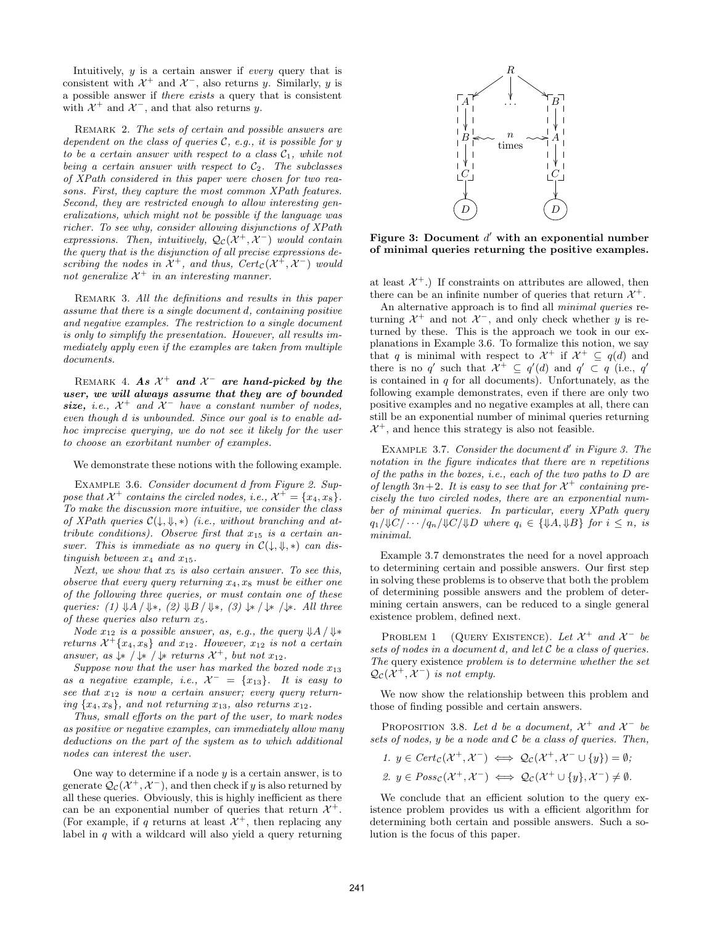Intuitively, y is a certain answer if every query that is consistent with  $\mathcal{X}^+$  and  $\mathcal{X}^-$ , also returns y. Similarly, y is a possible answer if there exists a query that is consistent with  $\mathcal{X}^+$  and  $\mathcal{X}^-$ , and that also returns y.

REMARK 2. The sets of certain and possible answers are dependent on the class of queries  $C$ , e.g., it is possible for y to be a certain answer with respect to a class  $C_1$ , while not being a certain answer with respect to  $C_2$ . The subclasses of XPath considered in this paper were chosen for two reasons. First, they capture the most common XPath features. Second, they are restricted enough to allow interesting generalizations, which might not be possible if the language was richer. To see why, consider allowing disjunctions of XPath expressions. Then, intuitively,  $\mathcal{Q}_{\mathcal{C}}(\mathcal{X}^+, \mathcal{X}^-)$  would contain the query that is the disjunction of all precise expressions describing the nodes in  $\mathcal{X}^+$ , and thus,  $Cert_{\mathcal{C}}(\mathcal{X}^+, \mathcal{X}^-)$  would not generalize  $\mathcal{X}^+$  in an interesting manner.

REMARK 3. All the definitions and results in this paper assume that there is a single document d, containing positive and negative examples. The restriction to a single document is only to simplify the presentation. However, all results immediately apply even if the examples are taken from multiple documents.

REMARK 4. As  $\mathcal{X}^+$  and  $\mathcal{X}^-$  are hand-picked by the user, we will always assume that they are of bounded size, i.e.,  $\mathcal{X}^+$  and  $\mathcal{X}^-$  have a constant number of nodes, even though d is unbounded. Since our goal is to enable adhoc imprecise querying, we do not see it likely for the user to choose an exorbitant number of examples.

We demonstrate these notions with the following example.

Example 3.6. Consider document d from Figure 2. Suppose that  $\mathcal{X}^+$  contains the circled nodes, i.e.,  $\mathcal{X}^+ = \{x_4, x_8\}.$ To make the discussion more intuitive, we consider the class of XPath queries  $\mathcal{C}(\downarrow, \Downarrow, *)$  (i.e., without branching and attribute conditions). Observe first that  $x_{15}$  is a certain answer. This is immediate as no query in  $\mathcal{C}(\downarrow, \Downarrow, *)$  can distinguish between  $x_4$  and  $x_{15}$ .

Next, we show that  $x_5$  is also certain answer. To see this, observe that every query returning  $x_4, x_8$  must be either one of the following three queries, or must contain one of these queries: (1)  $\mathcal{A}/\mathcal{A}$ , (2)  $\mathcal{A}/\mathcal{A}$ , (3)  $\mathcal{A}/\mathcal{A}$  / $\mathcal{A}/\mathcal{A}$ . All three of these queries also return  $x_5$ .

Node  $x_{12}$  is a possible answer, as, e.g., the query  $\mathcal{V}A/\mathcal{V}*$ returns  $\mathcal{X}^+ \{x_4, x_8\}$  and  $x_{12}$ . However,  $x_{12}$  is not a certain answer, as  $\downarrow \ast / \downarrow \ast / \downarrow$  returns  $\mathcal{X}^+$ , but not  $x_{12}$ .

Suppose now that the user has marked the boxed node  $x_{13}$ as a negative example, i.e.,  $\mathcal{X}^- = \{x_{13}\}.$  It is easy to see that  $x_{12}$  is now a certain answer; every query returning  $\{x_4, x_8\}$ , and not returning  $x_{13}$ , also returns  $x_{12}$ .

Thus, small efforts on the part of the user, to mark nodes as positive or negative examples, can immediately allow many deductions on the part of the system as to which additional nodes can interest the user.

One way to determine if a node  $y$  is a certain answer, is to generate  $\mathcal{Q}_{\mathcal{C}}(\mathcal{X}^+, \mathcal{X}^-)$ , and then check if y is also returned by all these queries. Obviously, this is highly inefficient as there can be an exponential number of queries that return  $\mathcal{X}^+$ . (For example, if q returns at least  $\mathcal{X}^+$ , then replacing any label in  $q$  with a wildcard will also yield a query returning



Figure 3: Document  $d'$  with an exponential number of minimal queries returning the positive examples.

at least  $\mathcal{X}^+$ .) If constraints on attributes are allowed, then there can be an infinite number of queries that return  $\mathcal{X}^+$ .

An alternative approach is to find all minimal queries returning  $\mathcal{X}^+$  and not  $\mathcal{X}^-$ , and only check whether y is returned by these. This is the approach we took in our explanations in Example 3.6. To formalize this notion, we say that q is minimal with respect to  $\mathcal{X}^+$  if  $\mathcal{X}^+ \subseteq q(d)$  and there is no q' such that  $\mathcal{X}^+ \subseteq q'(d)$  and  $q' \subset q$  (i.e., q' is contained in  $q$  for all documents). Unfortunately, as the following example demonstrates, even if there are only two positive examples and no negative examples at all, there can still be an exponential number of minimal queries returning  $\mathcal{X}^+$ , and hence this strategy is also not feasible.

EXAMPLE 3.7. Consider the document  $d'$  in Figure 3. The notation in the figure indicates that there are n repetitions of the paths in the boxes, i.e., each of the two paths to D are of length  $3n+2$ . It is easy to see that for  $\mathcal{X}^+$  containing precisely the two circled nodes, there are an exponential number of minimal queries. In particular, every XPath query  $q_1/\mathcal{W}C/\cdots/q_n/\mathcal{W}C/\mathcal{W}D$  where  $q_i \in {\mathcal{W}A, \mathcal{W}B}$  for  $i \leq n$ , is minimal.

Example 3.7 demonstrates the need for a novel approach to determining certain and possible answers. Our first step in solving these problems is to observe that both the problem of determining possible answers and the problem of determining certain answers, can be reduced to a single general existence problem, defined next.

PROBLEM 1 (QUERY EXISTENCE). Let  $\mathcal{X}^+$  and  $\mathcal{X}^-$  be sets of nodes in a document  $d$ , and let  $C$  be a class of queries. The query existence problem is to determine whether the set  $\mathcal{Q}_{\mathcal{C}}(\mathcal{X}^+, \mathcal{X}^-)$  is not empty.

We now show the relationship between this problem and those of finding possible and certain answers.

PROPOSITION 3.8. Let d be a document,  $\mathcal{X}^+$  and  $\mathcal{X}^-$  be sets of nodes,  $y$  be a node and  $C$  be a class of queries. Then,

1. 
$$
y \in \text{Cert}_\mathcal{C}(\mathcal{X}^+, \mathcal{X}^-) \iff \mathcal{Q}_\mathcal{C}(\mathcal{X}^+, \mathcal{X}^- \cup \{y\}) = \emptyset;
$$
  
\n2.  $y \in \text{Poss}_\mathcal{C}(\mathcal{X}^+, \mathcal{X}^-) \iff \mathcal{Q}_\mathcal{C}(\mathcal{X}^+ \cup \{y\}, \mathcal{X}^-) \neq \emptyset.$ 

We conclude that an efficient solution to the query existence problem provides us with a efficient algorithm for determining both certain and possible answers. Such a solution is the focus of this paper.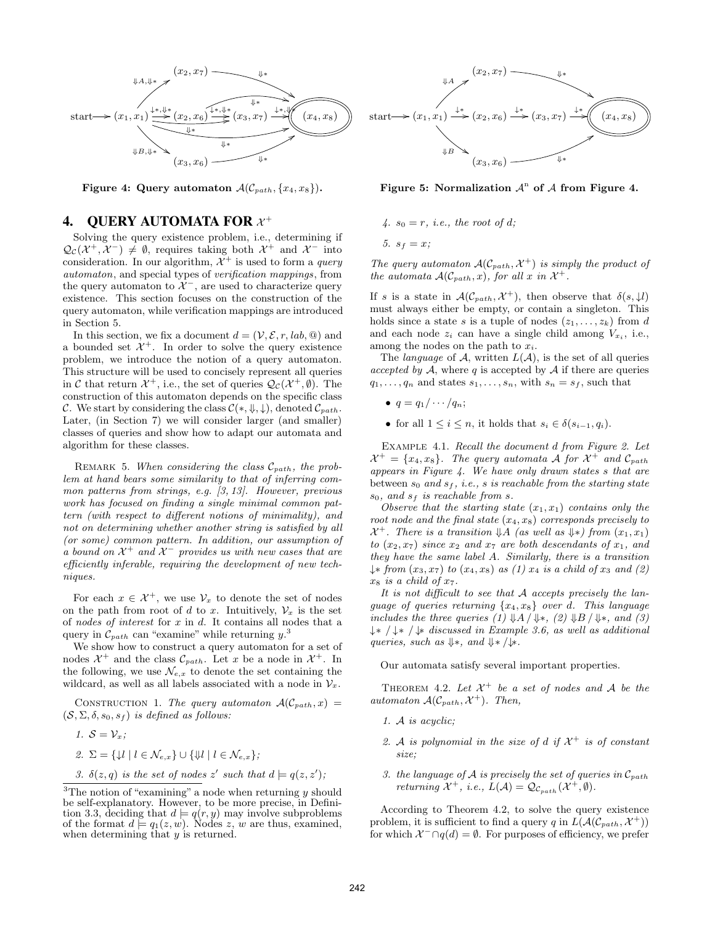

Figure 4: Query automaton  $\mathcal{A}(\mathcal{C}_{path}, \{x_4, x_8\})$ .

## 4. QUERY AUTOMATA FOR  $x^+$

Solving the query existence problem, i.e., determining if  $\mathcal{Q}_{\mathcal{C}}(\mathcal{X}^+,\mathcal{X}^-)\neq\emptyset$ , requires taking both  $\mathcal{X}^+$  and  $\mathcal{X}^-$  into consideration. In our algorithm,  $\mathcal{X}^+$  is used to form a *query* automaton, and special types of verification mappings, from the query automaton to  $\mathcal{X}^-$ , are used to characterize query existence. This section focuses on the construction of the query automaton, while verification mappings are introduced in Section 5.

In this section, we fix a document  $d = (\mathcal{V}, \mathcal{E}, r, lab, \mathcal{Q})$  and a bounded set  $\mathcal{X}^+$ . In order to solve the query existence problem, we introduce the notion of a query automaton. This structure will be used to concisely represent all queries in C that return  $\mathcal{X}^+$ , i.e., the set of queries  $\mathcal{Q}_{\mathcal{C}}(\mathcal{X}^+,\emptyset)$ . The construction of this automaton depends on the specific class C. We start by considering the class  $\mathcal{C}(*, \Downarrow, \downarrow)$ , denoted  $\mathcal{C}_{path}$ . Later, (in Section 7) we will consider larger (and smaller) classes of queries and show how to adapt our automata and algorithm for these classes.

REMARK 5. When considering the class  $\mathcal{C}_{path}$ , the problem at hand bears some similarity to that of inferring common patterns from strings, e.g. [3, 13]. However, previous work has focused on finding a single minimal common pattern (with respect to different notions of minimality), and not on determining whether another string is satisfied by all (or some) common pattern. In addition, our assumption of a bound on  $\mathcal{X}^+$  and  $\mathcal{X}^-$  provides us with new cases that are efficiently inferable, requiring the development of new techniques.

For each  $x \in \mathcal{X}^+$ , we use  $\mathcal{V}_x$  to denote the set of nodes on the path from root of d to x. Intuitively,  $\mathcal{V}_x$  is the set of nodes of interest for  $x$  in  $d$ . It contains all nodes that a query in  $\mathcal{C}_{path}$  can "examine" while returning  $y$ .<sup>3</sup>

We show how to construct a query automaton for a set of nodes  $\mathcal{X}^+$  and the class  $\mathcal{C}_{path}$ . Let x be a node in  $\mathcal{X}^+$ . In the following, we use  $\mathcal{N}_{e,x}$  to denote the set containing the wildcard, as well as all labels associated with a node in  $\mathcal{V}_x$ .

CONSTRUCTION 1. The query automaton  $A(C_{path}, x) =$  $(S, \Sigma, \delta, s_0, s_f)$  is defined as follows:

\n- 1. 
$$
\mathcal{S} = \mathcal{V}_x
$$
;
\n- 2.  $\Sigma = \{\mathcal{V} \mid l \in \mathcal{N}_{e,x}\} \cup \{\mathcal{V} \mid l \in \mathcal{N}_{e,x}\}$ ;
\n- 3.  $\delta(z, q)$  is the set of nodes  $z'$  such that  $d \models q(z, z')$ ;
\n



Figure 5: Normalization  $\mathcal{A}^n$  of  $\mathcal A$  from Figure 4.

4. 
$$
s_0 = r
$$
, *i.e.*, the root of d;

5.  $s_f = x;$ 

The query automaton  $\mathcal{A}(\mathcal{C}_{path}, \mathcal{X}^+)$  is simply the product of the automata  $\mathcal{A}(\mathcal{C}_{path}, x)$ , for all x in  $\mathcal{X}^+$ .

If s is a state in  $\mathcal{A}(\mathcal{C}_{path}, \mathcal{X}^+)$ , then observe that  $\delta(s, \downarrow l)$ must always either be empty, or contain a singleton. This holds since a state s is a tuple of nodes  $(z_1, \ldots, z_k)$  from d and each node  $z_i$  can have a single child among  $V_{x_i}$ , i.e., among the nodes on the path to  $x_i$ .

The *language* of A, written  $L(A)$ , is the set of all queries accepted by  $A$ , where q is accepted by  $A$  if there are queries  $q_1, \ldots, q_n$  and states  $s_1, \ldots, s_n$ , with  $s_n = s_f$ , such that

- $q = q_1 / \cdots / q_n;$
- for all  $1 \leq i \leq n$ , it holds that  $s_i \in \delta(s_{i-1}, q_i)$ .

Example 4.1. Recall the document d from Figure 2. Let  $\mathcal{X}^+ = \{x_4, x_8\}$ . The query automata  $\mathcal{A}$  for  $\mathcal{X}^+$  and  $\mathcal{C}_{path}$ appears in Figure 4. We have only drawn states s that are between  $s_0$  and  $s_f$ , *i.e.*, *s* is reachable from the starting state  $s_0$ , and  $s_f$  is reachable from s.

Observe that the starting state  $(x_1, x_1)$  contains only the root node and the final state  $(x_4, x_8)$  corresponds precisely to  $\mathcal{X}^+$ . There is a transition  $\mathcal{\downarrow}A$  (as well as  $\mathcal{\downarrow}*\right)$  from  $(x_1, x_1)$ to  $(x_2, x_7)$  since  $x_2$  and  $x_7$  are both descendants of  $x_1$ , and they have the same label A. Similarly, there is a transition  $\downarrow$ \* from  $(x_3, x_7)$  to  $(x_4, x_8)$  as (1)  $x_4$  is a child of  $x_3$  and (2)  $x_8$  is a child of  $x_7$ .

It is not difficult to see that A accepts precisely the language of queries returning  $\{x_4, x_8\}$  over d. This language includes the three queries (1)  $\mathcal{A}/\mathcal{A}/\mathcal{A}$ , (2)  $\mathcal{A}/\mathcal{A}/\mathcal{A}$ , and (3) ↓∗ / ↓∗ / ↓∗ discussed in Example 3.6, as well as additional queries, such as  $\Downarrow\ast$ , and  $\Downarrow\ast/\downarrow\ast$ .

Our automata satisfy several important properties.

THEOREM 4.2. Let  $\mathcal{X}^+$  be a set of nodes and A be the automaton  $\mathcal{A}(\mathcal{C}_{path}, \mathcal{X}^+)$ . Then,

- 1. A is acyclic;
- 2. A is polynomial in the size of d if  $\mathcal{X}^+$  is of constant size;
- 3. the language of A is precisely the set of queries in  $\mathcal{C}_{path}$ returning  $\mathcal{X}^+$ , i.e.,  $L(\mathcal{A}) = \mathcal{Q}_{c_{path}}(\mathcal{X}^+, \emptyset).$

According to Theorem 4.2, to solve the query existence problem, it is sufficient to find a query q in  $L(A(C_{path}, \mathcal{X}^+))$ for which  $\mathcal{X}^- \cap q(d) = \emptyset$ . For purposes of efficiency, we prefer

<sup>&</sup>lt;sup>3</sup>The notion of "examining" a node when returning  $y$  should be self-explanatory. However, to be more precise, in Definition 3.3, deciding that  $d \models q(r, y)$  may involve subproblems of the format  $d \models q_1(z, w)$ . Nodes z, w are thus, examined, when determining that  $y$  is returned.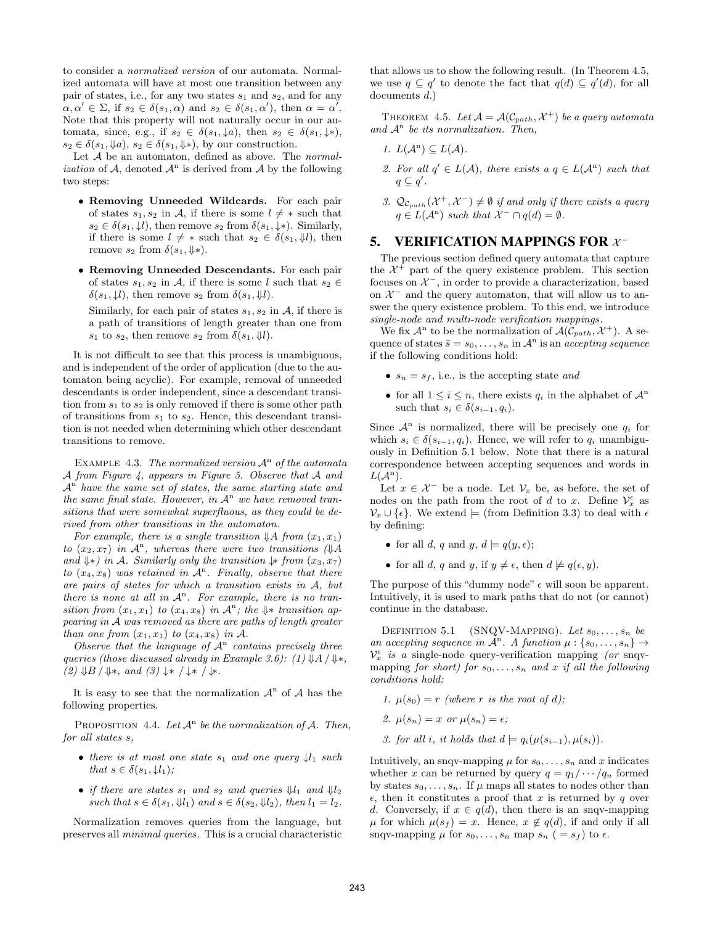to consider a normalized version of our automata. Normalized automata will have at most one transition between any pair of states, i.e., for any two states  $s_1$  and  $s_2$ , and for any  $\alpha, \alpha' \in \Sigma$ , if  $s_2 \in \delta(s_1, \alpha)$  and  $s_2 \in \delta(s_1, \alpha')$ , then  $\alpha = \alpha'$ . Note that this property will not naturally occur in our automata, since, e.g., if  $s_2 \in \delta(s_1, \downarrow a)$ , then  $s_2 \in \delta(s_1, \downarrow *)$ ,  $s_2 \in \delta(s_1, \mathcal{Y}_a), s_2 \in \delta(s_1, \mathcal{Y}_a)$ , by our construction.

Let  $A$  be an automaton, defined as above. The *normal*ization of  $A$ , denoted  $A<sup>n</sup>$  is derived from  $A$  by the following two steps:

- Removing Unneeded Wildcards. For each pair of states  $s_1, s_2$  in A, if there is some  $l \neq *$  such that  $s_2 \in \delta(s_1, \downarrow l)$ , then remove  $s_2$  from  $\delta(s_1, \downarrow*)$ . Similarly, if there is some  $l \neq *$  such that  $s_2 \in \delta(s_1, \mathcal{Y}_l)$ , then remove  $s_2$  from  $\delta(s_1, \downarrow \ast)$ .
- Removing Unneeded Descendants. For each pair of states  $s_1, s_2$  in A, if there is some l such that  $s_2 \in$  $\delta(s_1, \mathcal{Y})$ , then remove  $s_2$  from  $\delta(s_1, \mathcal{Y})$ .

Similarly, for each pair of states  $s_1, s_2$  in A, if there is a path of transitions of length greater than one from  $s_1$  to  $s_2$ , then remove  $s_2$  from  $\delta(s_1, \mathcal{Y}_i)$ .

It is not difficult to see that this process is unambiguous, and is independent of the order of application (due to the automaton being acyclic). For example, removal of unneeded descendants is order independent, since a descendant transition from  $s_1$  to  $s_2$  is only removed if there is some other path of transitions from  $s_1$  to  $s_2$ . Hence, this descendant transition is not needed when determining which other descendant transitions to remove.

EXAMPLE 4.3. The normalized version  $\mathcal{A}^n$  of the automata A from Figure 4, appears in Figure 5. Observe that  $A$  and  $\mathcal{A}^{\text{n}}$  have the same set of states, the same starting state and the same final state. However, in  $A<sup>n</sup>$  we have removed transitions that were somewhat superfluous, as they could be derived from other transitions in the automaton.

For example, there is a single transition  $\mathcal{A}$  from  $(x_1, x_1)$ to  $(x_2, x_7)$  in  $\mathcal{A}^n$ , whereas there were two transitions  $(\Downarrow \downarrow A)$ and  $\downarrow\ast$ ) in A. Similarly only the transition  $\downarrow\ast$  from  $(x_3, x_7)$ to  $(x_4, x_8)$  was retained in  $\mathcal{A}^n$ . Finally, observe that there are pairs of states for which a transition exists in A, but there is none at all in  $A<sup>n</sup>$ . For example, there is no transition from  $(x_1, x_1)$  to  $(x_4, x_8)$  in  $\mathcal{A}^n$ ; the  $\Downarrow \ast$  transition appearing in A was removed as there are paths of length greater than one from  $(x_1, x_1)$  to  $(x_4, x_8)$  in A.

Observe that the language of  $A<sup>n</sup>$  contains precisely three queries (those discussed already in Example 3.6): (1)  $\downarrow$ A /  $\downarrow$ \*,  $(2) \Downarrow B / \Downarrow$ , and  $(3) \downarrow \varkappa / \downarrow \varkappa / \downarrow \varkappa$ .

It is easy to see that the normalization  $\mathcal{A}^n$  of  $\mathcal A$  has the following properties.

PROPOSITION 4.4. Let  $\mathcal{A}^n$  be the normalization of  $\mathcal{A}$ . Then, for all states s,

- there is at most one state  $s_1$  and one query  $\downarrow l_1$  such that  $s \in \delta(s_1, \downarrow l_1)$ ;
- if there are states  $s_1$  and  $s_2$  and queries  $\mathcal{V}_1$  and  $\mathcal{V}_2$ such that  $s \in \delta(s_1, \mathcal{Y}_1)$  and  $s \in \delta(s_2, \mathcal{Y}_2)$ , then  $l_1 = l_2$ .

Normalization removes queries from the language, but preserves all minimal queries. This is a crucial characteristic that allows us to show the following result. (In Theorem 4.5, we use  $q \subseteq q'$  to denote the fact that  $q(d) \subseteq q'(d)$ , for all documents d.)

THEOREM 4.5. Let  $\mathcal{A} = \mathcal{A}(\mathcal{C}_{path}, \mathcal{X}^+)$  be a query automata and  $A<sup>n</sup>$  be its normalization. Then,

- 1.  $L(\mathcal{A}^n) \subseteq L(\mathcal{A})$ .
- 2. For all  $q' \in L(\mathcal{A})$ , there exists a  $q \in L(\mathcal{A}^n)$  such that  $q \subseteq q'$ .
- 3.  $\mathcal{Q}_{\mathcal{C}_{path}}(\mathcal{X}^+, \mathcal{X}^-) \neq \emptyset$  if and only if there exists a query  $q \in L(\mathcal{A}^n)$  such that  $\mathcal{X}^- \cap q(d) = \emptyset$ .

## 5. VERIFICATION MAPPINGS FOR  $x^-$

The previous section defined query automata that capture the  $\mathcal{X}^+$  part of the query existence problem. This section focuses on  $\mathcal{X}^-$ , in order to provide a characterization, based on  $\mathcal{X}^-$  and the query automaton, that will allow us to answer the query existence problem. To this end, we introduce single-node and multi-node verification mappings.

We fix  $\mathcal{A}^n$  to be the normalization of  $\mathcal{A}(\mathcal{C}_{path}, \mathcal{X}^+)$ . A sequence of states  $\bar{s} = s_0, \ldots, s_n$  in  $\mathcal{A}^n$  is an accepting sequence if the following conditions hold:

- $s_n = s_f$ , i.e., is the accepting state and
- for all  $1 \leq i \leq n$ , there exists  $q_i$  in the alphabet of  $\mathcal{A}^n$ such that  $s_i \in \delta(s_{i-1}, q_i)$ .

Since  $\mathcal{A}^n$  is normalized, there will be precisely one  $q_i$  for which  $s_i \in \delta(s_{i-1}, q_i)$ . Hence, we will refer to  $q_i$  unambiguously in Definition 5.1 below. Note that there is a natural correspondence between accepting sequences and words in  $L(A^n)$ .

Let  $x \in \mathcal{X}^-$  be a node. Let  $\mathcal{V}_x$  be, as before, the set of nodes on the path from the root of d to x. Define  $\mathcal{V}_x^{\epsilon}$  as  $\mathcal{V}_x \cup \{\epsilon\}$ . We extend  $\models$  (from Definition 3.3) to deal with  $\epsilon$ by defining:

- for all d, q and y,  $d \models q(y, \epsilon);$
- for all d, q and y, if  $y \neq \epsilon$ , then  $d \not\models q(\epsilon, y)$ .

The purpose of this "dummy node"  $\epsilon$  will soon be apparent. Intuitively, it is used to mark paths that do not (or cannot) continue in the database.

DEFINITION 5.1 (SNQV-MAPPING). Let  $s_0, \ldots, s_n$  be an accepting sequence in  $\mathcal{A}^n$ . A function  $\mu: \{s_0, \ldots, s_n\} \to$  $\mathcal{V}_x^{\epsilon}$  is a single-node query-verification mapping (or snqvmapping for short) for  $s_0, \ldots, s_n$  and x if all the following conditions hold:

- 1.  $\mu(s_0) = r$  (where r is the root of d);
- 2.  $\mu(s_n) = x$  or  $\mu(s_n) = \epsilon$ ;
- 3. for all i, it holds that  $d \models q_i(\mu(s_{i-1}), \mu(s_i)).$

Intuitively, an snqv-mapping  $\mu$  for  $s_0, \ldots, s_n$  and x indicates whether x can be returned by query  $q = q_1 / \cdots / q_n$  formed by states  $s_0, \ldots, s_n$ . If  $\mu$  maps all states to nodes other than  $\epsilon$ , then it constitutes a proof that x is returned by q over d. Conversely, if  $x \in q(d)$ , then there is an snqv-mapping  $\mu$  for which  $\mu(s_f) = x$ . Hence,  $x \notin q(d)$ , if and only if all snqv-mapping  $\mu$  for  $s_0, \ldots, s_n$  map  $s_n$  ( =  $s_f$ ) to  $\epsilon$ .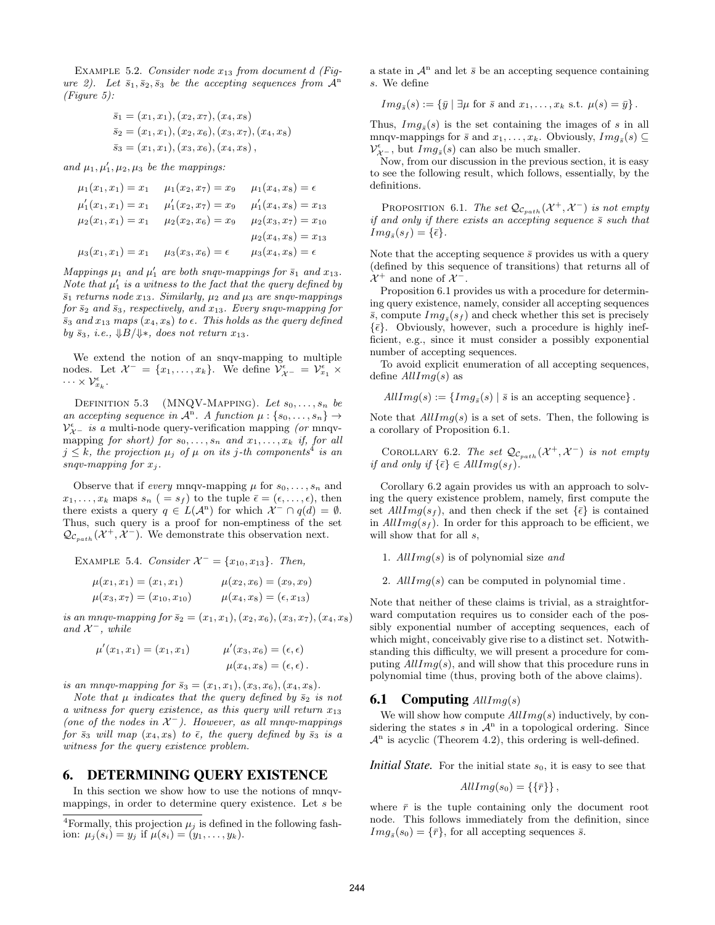EXAMPLE 5.2. Consider node  $x_{13}$  from document d (Figure 2). Let  $\bar{s}_1, \bar{s}_2, \bar{s}_3$  be the accepting sequences from  $\mathcal{A}^n$ (Figure 5):

$$
\overline{s}_1 = (x_1, x_1), (x_2, x_7), (x_4, x_8)
$$
  
\n
$$
\overline{s}_2 = (x_1, x_1), (x_2, x_6), (x_3, x_7), (x_4, x_8)
$$
  
\n
$$
\overline{s}_3 = (x_1, x_1), (x_3, x_6), (x_4, x_8),
$$

and  $\mu_1, \mu'_1, \mu_2, \mu_3$  be the mappings:

$$
\mu_1(x_1, x_1) = x_1 \qquad \mu_1(x_2, x_7) = x_9 \qquad \mu_1(x_4, x_8) = \epsilon
$$
  

$$
\mu'_1(x_1, x_1) = x_1 \qquad \mu'_1(x_2, x_7) = x_9 \qquad \mu'_1(x_4, x_8) = x_{13}
$$
  

$$
\mu_2(x_1, x_1) = x_1 \qquad \mu_2(x_2, x_6) = x_9 \qquad \mu_2(x_3, x_7) = x_{10}
$$
  

$$
\mu_2(x_4, x_8) = x_{13}
$$
  

$$
\mu_3(x_1, x_1) = x_1 \qquad \mu_3(x_3, x_6) = \epsilon \qquad \mu_3(x_4, x_8) = \epsilon
$$

Mappings  $\mu_1$  and  $\mu'_1$  are both snqv-mappings for  $\bar{s}_1$  and  $x_{13}$ . Note that  $\mu'_1$  is a witness to the fact that the query defined by  $\bar{s}_1$  returns node  $x_{13}$ . Similarly,  $\mu_2$  and  $\mu_3$  are snqv-mappings for  $\bar{s}_2$  and  $\bar{s}_3$ , respectively, and  $x_{13}$ . Every snqv-mapping for  $\bar{s}_3$  and  $x_{13}$  maps  $(x_4, x_8)$  to  $\epsilon$ . This holds as the query defined by  $\bar{s}_3$ , *i.e.*,  $\downarrow$ B/ $\downarrow$ \*, *does not return x*<sub>13</sub>.

We extend the notion of an snqv-mapping to multiple nodes. Let  $\mathcal{X}^- = \{x_1, \ldots, x_k\}$ . We define  $\mathcal{V}^{\epsilon}_{\mathcal{X}^-} = \mathcal{V}^{\epsilon}_{x_1} \times$  $\cdots \times {\cal V}^\epsilon_{x_k}.$ 

DEFINITION 5.3 (MNQV-MAPPING). Let  $s_0, \ldots, s_n$  be an accepting sequence in  $\mathcal{A}^n$ . A function  $\mu: \{s_0, \ldots, s_n\} \to$  ${\cal V}^{\epsilon}_{\cal X^-}$  is a multi-node query-verification mapping (or mnqvmapping for short) for  $s_0, \ldots, s_n$  and  $x_1, \ldots, x_k$  if, for all  $j \leq k$ , the projection  $\mu_j$  of  $\mu$  on its j-th components<sup>4</sup> is an snqv-mapping for  $x_i$ .

Observe that if *every* mnqv-mapping  $\mu$  for  $s_0, \ldots, s_n$  and  $x_1, \ldots, x_k$  maps  $s_n$  ( =  $s_f$ ) to the tuple  $\bar{\epsilon} = (\epsilon, \ldots, \epsilon)$ , then there exists a query  $q \in L(\mathcal{A}^n)$  for which  $\mathcal{X}^- \cap q(d) = \emptyset$ . Thus, such query is a proof for non-emptiness of the set  $\mathcal{Q}_{\mathcal{C}_{path}}(\mathcal{X}^+, \mathcal{X}^-)$ . We demonstrate this observation next.

EXAMPLE 5.4. Consider  $X^- = \{x_{10}, x_{13}\}.$  Then,

$$
\mu(x_1, x_1) = (x_1, x_1) \qquad \mu(x_2, x_6) = (x_9, x_9) \n\mu(x_3, x_7) = (x_{10}, x_{10}) \qquad \mu(x_4, x_8) = (\epsilon, x_{13})
$$

is an mnqv-mapping for  $\bar{s}_2 = (x_1, x_1), (x_2, x_6), (x_3, x_7), (x_4, x_8)$ and  $\mathcal{X}^-$ , while

$$
\mu'(x_1, x_1) = (x_1, x_1) \qquad \mu'(x_3, x_6) = (\epsilon, \epsilon)
$$

$$
\mu(x_4, x_8) = (\epsilon, \epsilon).
$$

is an mnqv-mapping for  $\bar{s}_3 = (x_1, x_1), (x_3, x_6), (x_4, x_8)$ .

Note that  $\mu$  indicates that the query defined by  $\bar{s}_2$  is not a witness for query existence, as this query will return  $x_{13}$ (one of the nodes in  $X^-$ ). However, as all mnqv-mappings for  $\bar{s}_3$  will map  $(x_4, x_8)$  to  $\bar{\epsilon}$ , the query defined by  $\bar{s}_3$  is a witness for the query existence problem.

#### 6. DETERMINING QUERY EXISTENCE

In this section we show how to use the notions of mnqvmappings, in order to determine query existence. Let  $s$  be

<sup>4</sup>Formally, this projection  $\mu_j$  is defined in the following fashion:  $\mu_j(s_i) = y_j$  if  $\mu(s_i) = (y_1, \ldots, y_k)$ .

a state in  $\mathcal{A}^n$  and let  $\bar{s}$  be an accepting sequence containing s. We define

$$
Im g_{\bar{s}}(s) := {\bar{y} | \exists \mu \text{ for } \bar{s} \text{ and } x_1, \ldots, x_k \text{ s.t. } \mu(s) = \bar{y} }.
$$

Thus,  $Im g_{\bar{s}}(s)$  is the set containing the images of s in all mnqv-mappings for  $\bar{s}$  and  $x_1, \ldots, x_k$ . Obviously,  $Img_{\bar{s}}(s) \subseteq$  $\mathcal{V}_{\mathcal{X}^-}^{\epsilon}$ , but  $Img_{\bar{s}}(s)$  can also be much smaller.

Now, from our discussion in the previous section, it is easy to see the following result, which follows, essentially, by the definitions.

PROPOSITION 6.1. The set  $\mathcal{Q}_{\mathcal{C}_{path}}(\mathcal{X}^+, \mathcal{X}^-)$  is not empty if and only if there exists an accepting sequence  $\bar{s}$  such that  $Im g_{\bar{s}}(s_f) = {\bar{\epsilon}}.$ 

Note that the accepting sequence  $\bar{s}$  provides us with a query (defined by this sequence of transitions) that returns all of  $\mathcal{X}^+$  and none of  $\mathcal{X}^-$ .

Proposition 6.1 provides us with a procedure for determining query existence, namely, consider all accepting sequences  $\bar{s}$ , compute  $Img_{\bar{s}}(s_f)$  and check whether this set is precisely  $\{\bar{\epsilon}\}.$  Obviously, however, such a procedure is highly inefficient, e.g., since it must consider a possibly exponential number of accepting sequences.

To avoid explicit enumeration of all accepting sequences, define  $AllImg(s)$  as

 $AllImg(s) := \{Img_{\bar{s}}(s) | \bar{s} \text{ is an accepting sequence}\}.$ 

Note that  $AllImg(s)$  is a set of sets. Then, the following is a corollary of Proposition 6.1.

COROLLARY 6.2. The set  $\mathcal{Q}_{\mathcal{C}_{path}}(\mathcal{X}^+, \mathcal{X}^-)$  is not empty if and only if  $\{\bar{\epsilon}\}\in AllImg(s_f)$ .

Corollary 6.2 again provides us with an approach to solving the query existence problem, namely, first compute the set  $AllImg(s_f)$ , and then check if the set  $\{\bar{\epsilon}\}\$ is contained in  $AllImg(s_f)$ . In order for this approach to be efficient, we will show that for all s,

1.  $AllImg(s)$  is of polynomial size and

2.  $AllImq(s)$  can be computed in polynomial time.

Note that neither of these claims is trivial, as a straightforward computation requires us to consider each of the possibly exponential number of accepting sequences, each of which might, conceivably give rise to a distinct set. Notwithstanding this difficulty, we will present a procedure for computing  $AllImg(s)$ , and will show that this procedure runs in polynomial time (thus, proving both of the above claims).

#### **6.1 Computing**  $AllImq(s)$

We will show how compute  $AllImg(s)$  inductively, by considering the states  $s$  in  $\mathcal{A}^n$  in a topological ordering. Since  $\mathcal{A}^n$  is acyclic (Theorem 4.2), this ordering is well-defined.

*Initial State.* For the initial state  $s<sub>0</sub>$ , it is easy to see that

$$
AllImg(s_0) = \{\{\bar{r}\}\},\
$$

where  $\bar{r}$  is the tuple containing only the document root node. This follows immediately from the definition, since  $Im g_{\bar{s}}(s_0) = {\bar{r}},$  for all accepting sequences  $\bar{s}$ .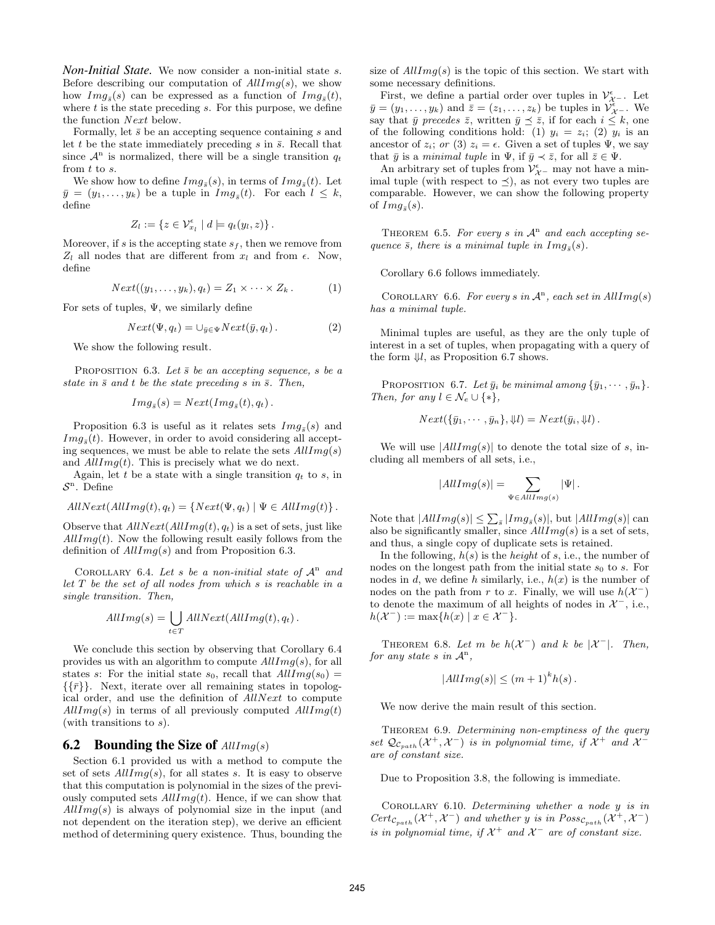*Non-Initial State.* We now consider a non-initial state s. Before describing our computation of  $AllImg(s)$ , we show how  $Im g_{\bar{s}}(s)$  can be expressed as a function of  $Im g_{\bar{s}}(t)$ , where  $t$  is the state preceding  $s$ . For this purpose, we define the function Next below.

Formally, let  $\bar{s}$  be an accepting sequence containing s and let t be the state immediately preceding s in  $\bar{s}$ . Recall that since  $\mathcal{A}^n$  is normalized, there will be a single transition  $q_t$ from t to s.

We show how to define  $Im g_{\bar{s}}(s)$ , in terms of  $Im g_{\bar{s}}(t)$ . Let  $\bar{y} = (y_1, \ldots, y_k)$  be a tuple in  $Img_{\bar{s}}(t)$ . For each  $l \leq k$ , define

$$
Z_l := \{ z \in \mathcal{V}_{x_l}^{\epsilon} \mid d \models q_t(y_l, z) \}.
$$

Moreover, if s is the accepting state  $s_f$ , then we remove from  $Z_l$  all nodes that are different from  $x_l$  and from  $\epsilon$ . Now, define

$$
Next((y_1,\ldots,y_k),q_t)=Z_1\times\cdots\times Z_k.
$$
 (1)

For sets of tuples,  $\Psi$ , we similarly define

$$
Next(\Psi, q_t) = \bigcup_{\bar{y} \in \Psi} Next(\bar{y}, q_t).
$$
 (2)

We show the following result.

PROPOSITION 6.3. Let  $\bar{s}$  be an accepting sequence, s be a state in  $\bar{s}$  and t be the state preceding s in  $\bar{s}$ . Then,

$$
Img_{\bar{s}}(s) = Next(Img_{\bar{s}}(t), q_t).
$$

Proposition 6.3 is useful as it relates sets  $Img_{\bar{s}}(s)$  and  $Im g_{\bar{s}}(t)$ . However, in order to avoid considering all accepting sequences, we must be able to relate the sets  $AllImq(s)$ and  $AllImq(t)$ . This is precisely what we do next.

Again, let t be a state with a single transition  $q_t$  to s, in  $S<sup>n</sup>$ . Define

$$
AllNext(AllImg(t), q_t) = \{Next(\Psi, q_t) | \Psi \in AllImg(t)\}.
$$

Observe that  $AllNext(AllImg(t), q_t)$  is a set of sets, just like  $AllImg(t)$ . Now the following result easily follows from the definition of  $AllImg(s)$  and from Proposition 6.3.

COROLLARY 6.4. Let s be a non-initial state of  $\mathcal{A}^n$  and let T be the set of all nodes from which s is reachable in a single transition. Then,

$$
AllImg(s) = \bigcup_{t \in T} AllNext(AllImg(t), q_t).
$$

We conclude this section by observing that Corollary 6.4 provides us with an algorithm to compute  $AllImg(s)$ , for all states s: For the initial state  $s_0$ , recall that  $AllImg(s_0) =$  $\{\{\bar{r}\}\}\$ . Next, iterate over all remaining states in topological order, and use the definition of AllNext to compute  $AllImg(s)$  in terms of all previously computed  $AllImg(t)$ (with transitions to  $s$ ).

#### **6.2** Bounding the Size of  $AllImg(s)$

Section 6.1 provided us with a method to compute the set of sets  $AllImg(s)$ , for all states s. It is easy to observe that this computation is polynomial in the sizes of the previously computed sets  $AllImg(t)$ . Hence, if we can show that  $AllImg(s)$  is always of polynomial size in the input (and not dependent on the iteration step), we derive an efficient method of determining query existence. Thus, bounding the size of  $AllImq(s)$  is the topic of this section. We start with some necessary definitions.

First, we define a partial order over tuples in  $\mathcal{V}^{\epsilon}_{\mathcal{X}^{-}}$ . Let  $\bar{y} = (y_1, \ldots, y_k)$  and  $\bar{z} = (z_1, \ldots, z_k)$  be tuples in  $\mathcal{V}_{\mathcal{X}^{-}}^{\epsilon}$ . We say that  $\bar{y}$  precedes  $\bar{z}$ , written  $\bar{y} \preceq \bar{z}$ , if for each  $i \leq k$ , one of the following conditions hold: (1)  $y_i = z_i$ ; (2)  $y_i$  is an ancestor of  $z_i$ ; or (3)  $z_i = \epsilon$ . Given a set of tuples  $\Psi$ , we say that  $\bar{y}$  is a minimal tuple in  $\Psi$ , if  $\bar{y} \prec \bar{z}$ , for all  $\bar{z} \in \Psi$ .

An arbitrary set of tuples from  $\mathcal{V}^{\epsilon}_{\mathcal{X}^{-}}$  may not have a minimal tuple (with respect to  $\preceq$ ), as not every two tuples are comparable. However, we can show the following property of  $Img_{\bar{s}}(s)$ .

THEOREM 6.5. For every s in  $\mathcal{A}^n$  and each accepting sequence  $\bar{s}$ , there is a minimal tuple in  $Img_{\bar{s}}(s)$ .

Corollary 6.6 follows immediately.

COROLLARY 6.6. For every s in  $\mathcal{A}^n$ , each set in  $AllImg(s)$ has a minimal tuple.

Minimal tuples are useful, as they are the only tuple of interest in a set of tuples, when propagating with a query of the form  $\mathcal{Y}l$ , as Proposition 6.7 shows.

PROPOSITION 6.7. Let  $\bar{y}_i$  be minimal among  $\{\bar{y}_1, \dots, \bar{y}_n\}$ . Then, for any  $l \in \mathcal{N}_e \cup \{*\},\$ 

$$
Next({\overline{y}}_1,\cdots,{\overline{y}}_n},{\overline{y}}_l)=Next({\overline{y}}_i,{\overline{y}}_l).
$$

We will use  $|AllImg(s)|$  to denote the total size of s, including all members of all sets, i.e.,

$$
|AllImg(s)| = \sum_{\Psi \in AllImg(s)} |\Psi|.
$$

Note that  $|AllImg(s)| \leq \sum_{\bar{s}} |Img_{\bar{s}}(s)|$ , but  $|AllImg(s)|$  can also be significantly smaller, since  $AllImg(s)$  is a set of sets, and thus, a single copy of duplicate sets is retained.

In the following,  $h(s)$  is the *height* of s, i.e., the number of nodes on the longest path from the initial state  $s_0$  to s. For nodes in d, we define h similarly, i.e.,  $h(x)$  is the number of nodes on the path from r to x. Finally, we will use  $h(\mathcal{X}^-)$ to denote the maximum of all heights of nodes in  $\mathcal{X}^-$ , i.e.,  $h(\mathcal{X}^-) := \max\{h(x) \mid x \in \mathcal{X}^-\}.$ 

THEOREM 6.8. Let m be  $h(\mathcal{X}^-)$  and k be  $|\mathcal{X}^-|$ . Then, for any state s in  $\mathcal{A}^n$ ,

$$
|AllImg(s)| \le (m+1)^k h(s).
$$

We now derive the main result of this section.

THEOREM 6.9. Determining non-emptiness of the query set  $\mathcal{Q}_{\mathcal{C}_{path}}(\mathcal{X}^+, \mathcal{X}^-)$  is in polynomial time, if  $\mathcal{X}^+$  and  $\mathcal{X}^$ are of constant size.

Due to Proposition 3.8, the following is immediate.

Corollary 6.10. Determining whether a node y is in  $Cert_{\mathcal{C}_{path}}(\mathcal{X}^+, \mathcal{X}^-)$  and whether y is in  $Poss_{\mathcal{C}_{path}}(\mathcal{X}^+, \mathcal{X}^-)$ is in polynomial time, if  $\mathcal{X}^+$  and  $\mathcal{X}^-$  are of constant size.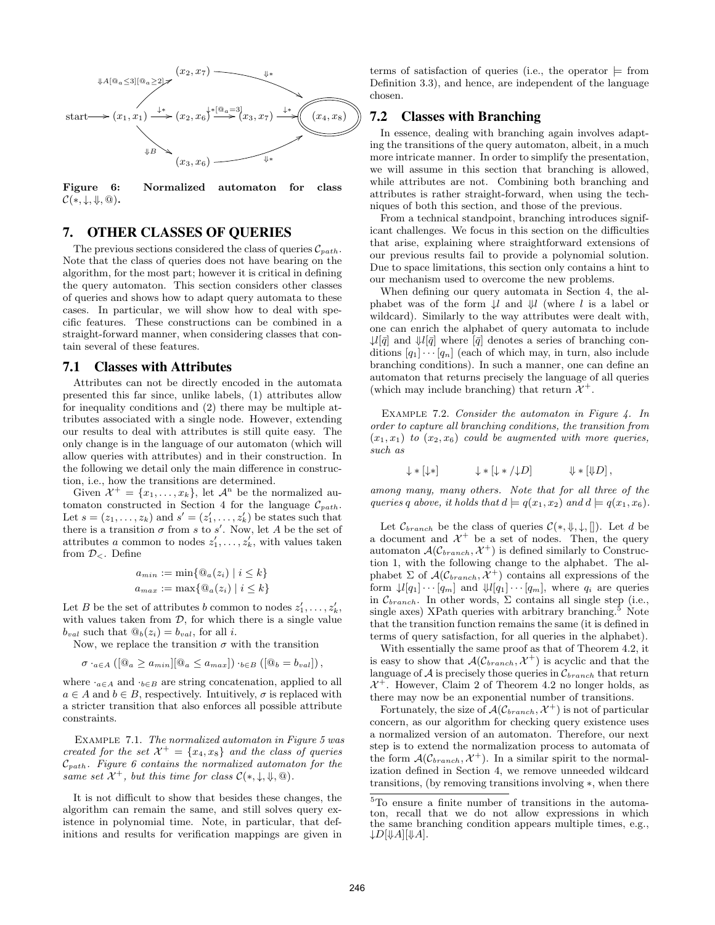

Figure 6: Normalized automaton for class  $\mathcal{C}(*, \downarrow, \Downarrow, \textcircled{a}).$ 

#### 7. OTHER CLASSES OF QUERIES

The previous sections considered the class of queries  $C_{path}$ . Note that the class of queries does not have bearing on the algorithm, for the most part; however it is critical in defining the query automaton. This section considers other classes of queries and shows how to adapt query automata to these cases. In particular, we will show how to deal with specific features. These constructions can be combined in a straight-forward manner, when considering classes that contain several of these features.

## 7.1 Classes with Attributes

Attributes can not be directly encoded in the automata presented this far since, unlike labels, (1) attributes allow for inequality conditions and (2) there may be multiple attributes associated with a single node. However, extending our results to deal with attributes is still quite easy. The only change is in the language of our automaton (which will allow queries with attributes) and in their construction. In the following we detail only the main difference in construction, i.e., how the transitions are determined.

Given  $\mathcal{X}^+ = \{x_1, \ldots, x_k\}$ , let  $\mathcal{A}^n$  be the normalized automaton constructed in Section 4 for the language  $\mathcal{C}_{path}$ . Let  $s = (z_1, \ldots, z_k)$  and  $s' = (z'_1, \ldots, z'_k)$  be states such that there is a transition  $\sigma$  from s to s'. Now, let A be the set of attributes a common to nodes  $z'_1, \ldots, z'_k$ , with values taken from  $\mathcal{D}_{\leq}$ . Define

$$
a_{min} := \min\{\mathbb{Q}_a(z_i) \mid i \le k\}
$$
  

$$
a_{max} := \max\{\mathbb{Q}_a(z_i) \mid i \le k\}
$$

Let B be the set of attributes b common to nodes  $z'_1, \ldots, z'_k$ , with values taken from  $D$ , for which there is a single value  $b_{val}$  such that  $\mathcal{Q}_b(z_i) = b_{val}$ , for all *i*.

Now, we replace the transition  $\sigma$  with the transition

$$
\sigma \cdot_{a \in A} ([@a \geq a_{min}][@a \leq a_{max}]) \cdot_{b \in B} ([@b = b_{val}]),
$$

where  $\cdot_{a \in A}$  and  $\cdot_{b \in B}$  are string concatenation, applied to all  $a \in A$  and  $b \in B$ , respectively. Intuitively,  $\sigma$  is replaced with a stricter transition that also enforces all possible attribute constraints.

Example 7.1. The normalized automaton in Figure 5 was created for the set  $\mathcal{X}^+ = \{x_4, x_8\}$  and the class of queries  $\mathcal{C}_{path}$ . Figure 6 contains the normalized automaton for the same set  $\mathcal{X}^+$ , but this time for class  $\mathcal{C}(*, \downarrow, \Downarrow, \textcircled{a})$ .

It is not difficult to show that besides these changes, the algorithm can remain the same, and still solves query existence in polynomial time. Note, in particular, that definitions and results for verification mappings are given in

terms of satisfaction of queries (i.e., the operator  $\models$  from Definition 3.3), and hence, are independent of the language chosen.

## 7.2 Classes with Branching

In essence, dealing with branching again involves adapting the transitions of the query automaton, albeit, in a much more intricate manner. In order to simplify the presentation, we will assume in this section that branching is allowed, while attributes are not. Combining both branching and attributes is rather straight-forward, when using the techniques of both this section, and those of the previous.

From a technical standpoint, branching introduces significant challenges. We focus in this section on the difficulties that arise, explaining where straightforward extensions of our previous results fail to provide a polynomial solution. Due to space limitations, this section only contains a hint to our mechanism used to overcome the new problems.

When defining our query automata in Section 4, the alphabet was of the form  $\downarrow l$  and  $\uparrow \downarrow l$  (where l is a label or wildcard). Similarly to the way attributes were dealt with, one can enrich the alphabet of query automata to include  $\mathcal{L}[\bar{q}]$  and  $\mathcal{L}[\bar{q}]$  where  $[\bar{q}]$  denotes a series of branching conditions  $[q_1] \cdots [q_n]$  (each of which may, in turn, also include branching conditions). In such a manner, one can define an automaton that returns precisely the language of all queries (which may include branching) that return  $\mathcal{X}^+$ .

EXAMPLE 7.2. Consider the automaton in Figure 4. In order to capture all branching conditions, the transition from  $(x_1, x_1)$  to  $(x_2, x_6)$  could be augmented with more queries, such as

$$
\downarrow * [\downarrow *] \qquad \qquad \downarrow * [\downarrow * / \downarrow D] \qquad \qquad \downarrow * [\downarrow D],
$$

among many, many others. Note that for all three of the queries q above, it holds that  $d \models q(x_1, x_2)$  and  $d \models q(x_1, x_6)$ .

Let  $\mathcal{C}_{branch}$  be the class of queries  $\mathcal{C}(*,\Downarrow,\downarrow,[])$ . Let d be a document and  $\mathcal{X}^+$  be a set of nodes. Then, the query automaton  $\mathcal{A}(\mathcal{C}_{branch}, \mathcal{X}^+)$  is defined similarly to Construction 1, with the following change to the alphabet. The alphabet  $\Sigma$  of  $\mathcal{A}(\mathcal{C}_{branch}, \overline{\mathcal{X}}^+)$  contains all expressions of the form  $\downarrow l[q_1] \cdots [q_m]$  and  $\downarrow l[q_1] \cdots [q_m]$ , where  $q_i$  are queries in  $\mathcal{C}_{branch}$ . In other words,  $\Sigma$  contains all single step (i.e., single axes) XPath queries with arbitrary branching. $5$  Note that the transition function remains the same (it is defined in terms of query satisfaction, for all queries in the alphabet).

With essentially the same proof as that of Theorem 4.2, it is easy to show that  $\mathcal{A}(\mathcal{C}_{branch}, \mathcal{X}^+)$  is acyclic and that the language of  $A$  is precisely those queries in  $\mathcal{C}_{branch}$  that return  $\mathcal{X}^+$ . However, Claim 2 of Theorem 4.2 no longer holds, as there may now be an exponential number of transitions.

Fortunately, the size of  $\mathcal{A}(\mathcal{C}_{branch}, \mathcal{X}^+)$  is not of particular concern, as our algorithm for checking query existence uses a normalized version of an automaton. Therefore, our next step is to extend the normalization process to automata of the form  $\mathcal{A}(\mathcal{C}_{branch}, \mathcal{X}^+)$ . In a similar spirit to the normalization defined in Section 4, we remove unneeded wildcard transitions, (by removing transitions involving ∗, when there

<sup>5</sup>To ensure a finite number of transitions in the automaton, recall that we do not allow expressions in which the same branching condition appears multiple times, e.g.,  $\downarrow$ D[ $\downarrow$ A][ $\downarrow$ A].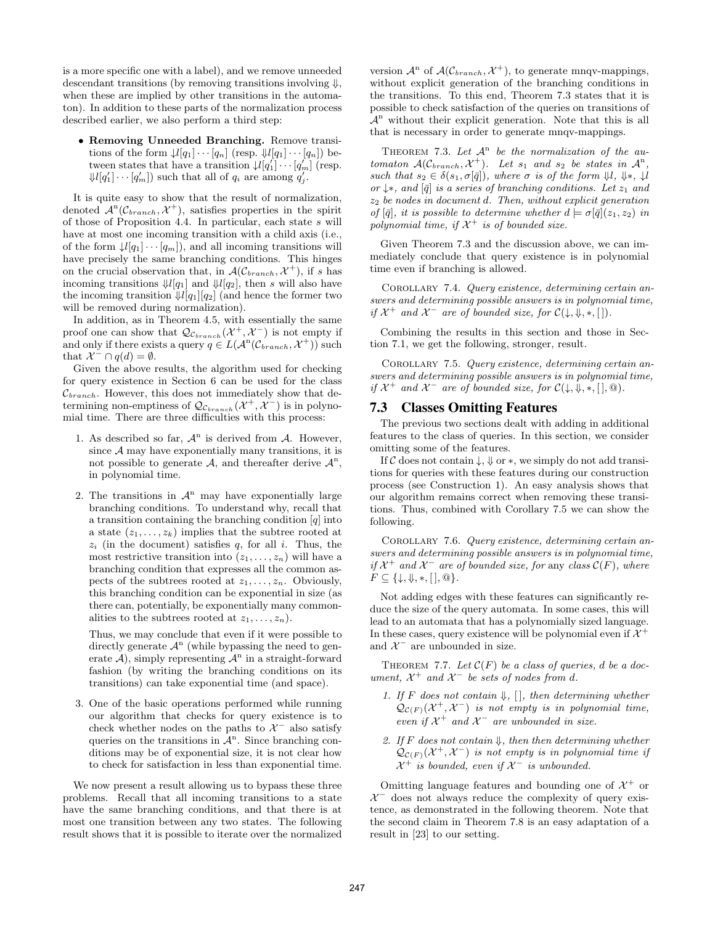is a more specific one with a label), and we remove unneeded descendant transitions (by removing transitions involving  $\downarrow$ , when these are implied by other transitions in the automaton). In addition to these parts of the normalization process described earlier, we also perform a third step:

• Removing Unneeded Branching. Remove transitions of the form  $\downarrow l[q_1] \cdots [q_n]$  (resp.  $\downarrow l[q_1] \cdots [q_n]$ ) between states that have a transition  $\downarrow l[q_1'] \cdots [q_m']$  (resp.  $\left\{\mathcal{U}[q'_1]\cdots[q'_m]\right\}$  such that all of  $q_i$  are among  $q'_j$ .

It is quite easy to show that the result of normalization, denoted  $\mathcal{A}^n(\mathcal{C}_{branch}, \mathcal{X}^+)$ , satisfies properties in the spirit of those of Proposition 4.4. In particular, each state s will have at most one incoming transition with a child axis (i.e., of the form  $\downarrow l[q_1] \cdots [q_m]$ , and all incoming transitions will have precisely the same branching conditions. This hinges on the crucial observation that, in  $\mathcal{A}(\mathcal{C}_{branch}, \mathcal{X}^+)$ , if s has incoming transitions  $\mathcal{J}[q_1]$  and  $\mathcal{J}[q_2]$ , then s will also have the incoming transition  $\mathcal{V}[q_1][q_2]$  (and hence the former two will be removed during normalization).

In addition, as in Theorem 4.5, with essentially the same proof one can show that  $\mathcal{Q}_{\mathcal{C}_{branch}}(\mathcal{X}^+, \mathcal{X}^-)$  is not empty if and only if there exists a query  $q \in L(\mathcal{A}^n(\mathcal{C}_{branch}, \mathcal{X}^+))$  such that  $\mathcal{X}^- \cap q(d) = \emptyset$ .

Given the above results, the algorithm used for checking for query existence in Section 6 can be used for the class  $\mathcal{C}_{branch}$ . However, this does not immediately show that determining non-emptiness of  $\mathcal{Q}_{\mathcal{C}_{branch}}(\mathcal{X}^+, \mathcal{X}^-)$  is in polynomial time. There are three difficulties with this process:

- 1. As described so far,  $\mathcal{A}^n$  is derived from  $\mathcal{A}$ . However, since  $A$  may have exponentially many transitions, it is not possible to generate  $A$ , and thereafter derive  $A^n$ , in polynomial time.
- 2. The transitions in  $\mathcal{A}^n$  may have exponentially large branching conditions. To understand why, recall that a transition containing the branching condition  $[q]$  into a state  $(z_1, \ldots, z_k)$  implies that the subtree rooted at  $z_i$  (in the document) satisfies q, for all i. Thus, the most restrictive transition into  $(z_1, \ldots, z_n)$  will have a branching condition that expresses all the common aspects of the subtrees rooted at  $z_1, \ldots, z_n$ . Obviously, this branching condition can be exponential in size (as there can, potentially, be exponentially many commonalities to the subtrees rooted at  $z_1, \ldots, z_n$ ).

Thus, we may conclude that even if it were possible to directly generate  $\mathcal{A}^n$  (while bypassing the need to generate  $\mathcal{A}$ ), simply representing  $\mathcal{A}^n$  in a straight-forward fashion (by writing the branching conditions on its transitions) can take exponential time (and space).

3. One of the basic operations performed while running our algorithm that checks for query existence is to check whether nodes on the paths to  $\mathcal{X}^-$  also satisfy queries on the transitions in  $\mathcal{A}^n$ . Since branching conditions may be of exponential size, it is not clear how to check for satisfaction in less than exponential time.

We now present a result allowing us to bypass these three problems. Recall that all incoming transitions to a state have the same branching conditions, and that there is at most one transition between any two states. The following result shows that it is possible to iterate over the normalized

version  $\mathcal{A}^n$  of  $\mathcal{A}(\mathcal{C}_{branch}, \mathcal{X}^+)$ , to generate mnqv-mappings, without explicit generation of the branching conditions in the transitions. To this end, Theorem 7.3 states that it is possible to check satisfaction of the queries on transitions of  $\mathcal{A}^n$  without their explicit generation. Note that this is all that is necessary in order to generate mnqv-mappings.

THEOREM 7.3. Let  $\mathcal{A}^n$  be the normalization of the automaton  $\mathcal{A}(\mathcal{C}_{branch}, \mathcal{X}^+)$ . Let  $s_1$  and  $s_2$  be states in  $\mathcal{A}^n$ , such that  $s_2 \in \delta(s_1, \sigma[\bar{q}]),$  where  $\sigma$  is of the form  $\Downarrow l$ ,  $\Downarrow *$ ,  $\downarrow l$ or  $\downarrow$ ∗, and  $[\bar{q}]$  is a series of branching conditions. Let  $z_1$  and  $z_2$  be nodes in document d. Then, without explicit generation of  $[\bar{q}]$ , it is possible to determine whether  $d \models \sigma[\bar{q}](z_1, z_2)$  in polynomial time, if  $\mathcal{X}^+$  is of bounded size.

Given Theorem 7.3 and the discussion above, we can immediately conclude that query existence is in polynomial time even if branching is allowed.

Corollary 7.4. Query existence, determining certain answers and determining possible answers is in polynomial time, if  $\mathcal{X}^+$  and  $\mathcal{X}^-$  are of bounded size, for  $\mathcal{C}(\downarrow, \downarrow, *, \lceil).$ 

Combining the results in this section and those in Section 7.1, we get the following, stronger, result.

COROLLARY 7.5. Query existence, determining certain answers and determining possible answers is in polynomial time, if  $\mathcal{X}^+$  and  $\mathcal{X}^-$  are of bounded size, for  $\mathcal{C}(\downarrow, \downarrow, *, [\cdot], \textcircled{a})$ .

#### 7.3 Classes Omitting Features

The previous two sections dealt with adding in additional features to the class of queries. In this section, we consider omitting some of the features.

If C does not contain  $\downarrow$ ,  $\Downarrow$  or  $*$ , we simply do not add transitions for queries with these features during our construction process (see Construction 1). An easy analysis shows that our algorithm remains correct when removing these transitions. Thus, combined with Corollary 7.5 we can show the following.

Corollary 7.6. Query existence, determining certain answers and determining possible answers is in polynomial time, if  $\mathcal{X}^+$  and  $\mathcal{X}^-$  are of bounded size, for any class  $\mathcal{C}(F)$ , where  $F \subseteq \{\downarrow, \Downarrow, *, [\,], \textcircled{a}\}.$ 

Not adding edges with these features can significantly reduce the size of the query automata. In some cases, this will lead to an automata that has a polynomially sized language. In these cases, query existence will be polynomial even if  $\mathcal{X}^+$ and  $\mathcal{X}^-$  are unbounded in size.

THEOREM 7.7. Let  $\mathcal{C}(F)$  be a class of queries, d be a document,  $\mathcal{X}^+$  and  $\mathcal{X}^-$  be sets of nodes from d.

- 1. If F does not contain  $\downarrow$ , [], then determining whether  $\mathcal{Q}_{\mathcal{C}(F)}(\mathcal{X}^+,\mathcal{X}^-)$  is not empty is in polynomial time, even if  $\mathcal{X}^+$  and  $\mathcal{X}^-$  are unbounded in size.
- 2. If F does not contain  $\downarrow$ , then then determining whether  $\mathcal{Q}_{\mathcal{C}(F)}(\mathcal{X}^+, \mathcal{X}^-)$  is not empty is in polynomial time if  $\mathcal{X}^+$  is bounded, even if  $\mathcal{X}^-$  is unbounded.

Omitting language features and bounding one of  $\mathcal{X}^+$  or  $\mathcal{X}^-$  does not always reduce the complexity of query existence, as demonstrated in the following theorem. Note that the second claim in Theorem 7.8 is an easy adaptation of a result in [23] to our setting.